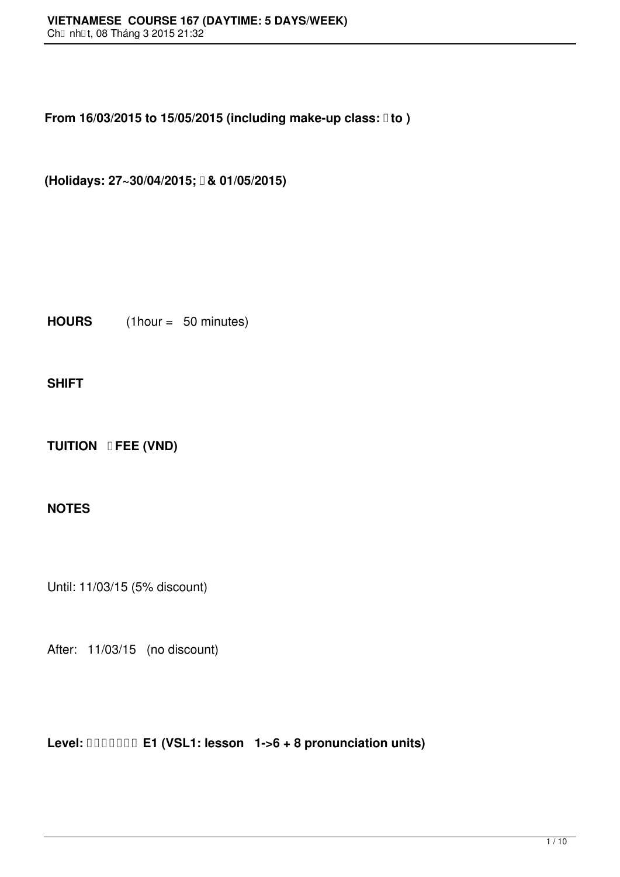**From 16/03/2015 to 15/05/2015 (including make-up class:**  $\text{I}$  **to )** 

**(Holidays: 27~30/04/2015; & 01/05/2015)**

**HOURS** (1hour = 50 minutes)

**SHIFT**

**TUITION <b>DFEE** (VND)

## **NOTES**

Until: 11/03/15 (5% discount)

After: 11/03/15 (no discount)

**Level: E1 (VSL1: lesson 1->6 + 8 pronunciation units)**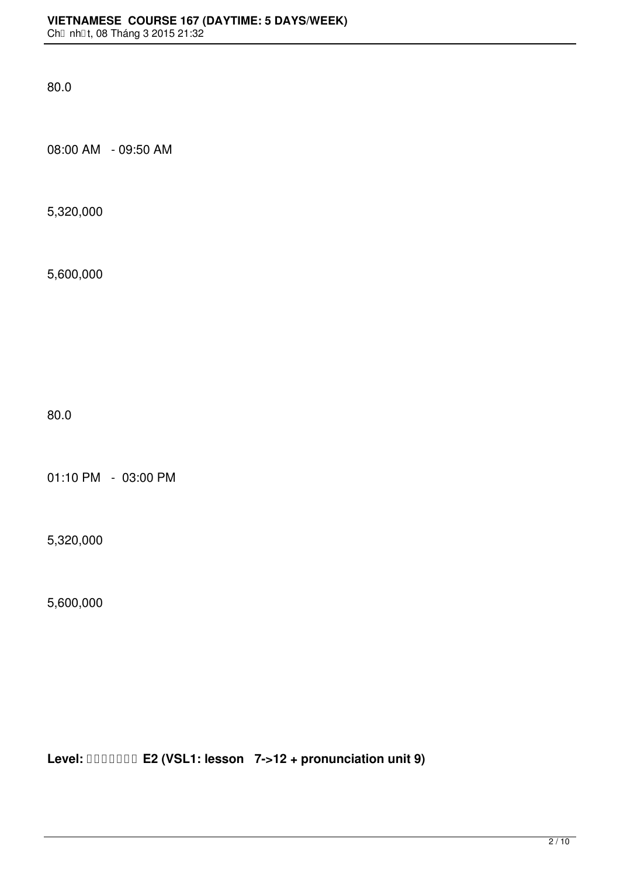08:00 AM - 09:50 AM

5,320,000

5,600,000

80.0

01:10 PM - 03:00 PM

5,320,000

5,600,000

**Level: E2 (VSL1: lesson 7->12 + pronunciation unit 9)**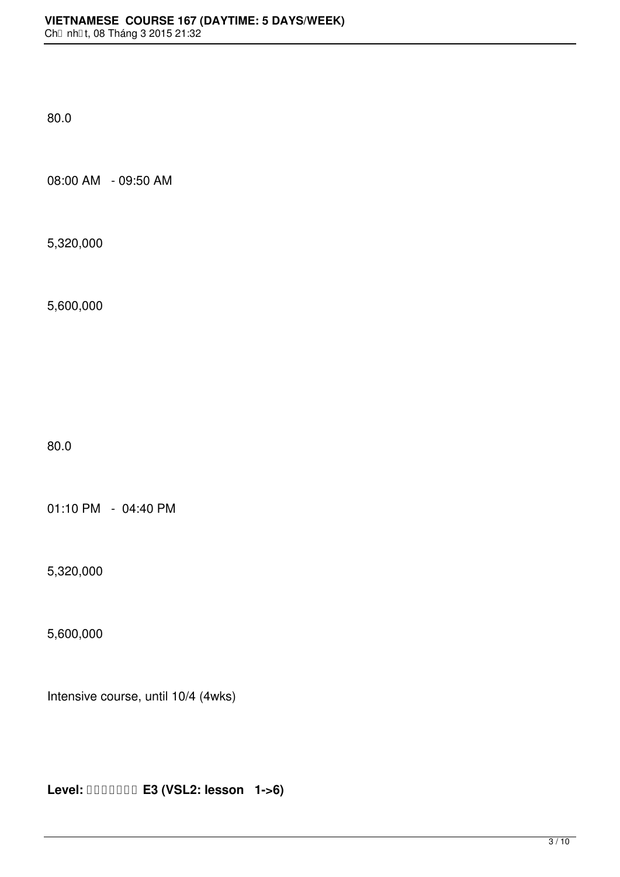08:00 AM - 09:50 AM

5,320,000

5,600,000

80.0

01:10 PM - 04:40 PM

5,320,000

5,600,000

Intensive course, until 10/4 (4wks)

**Level: E3 (VSL2: lesson 1->6)**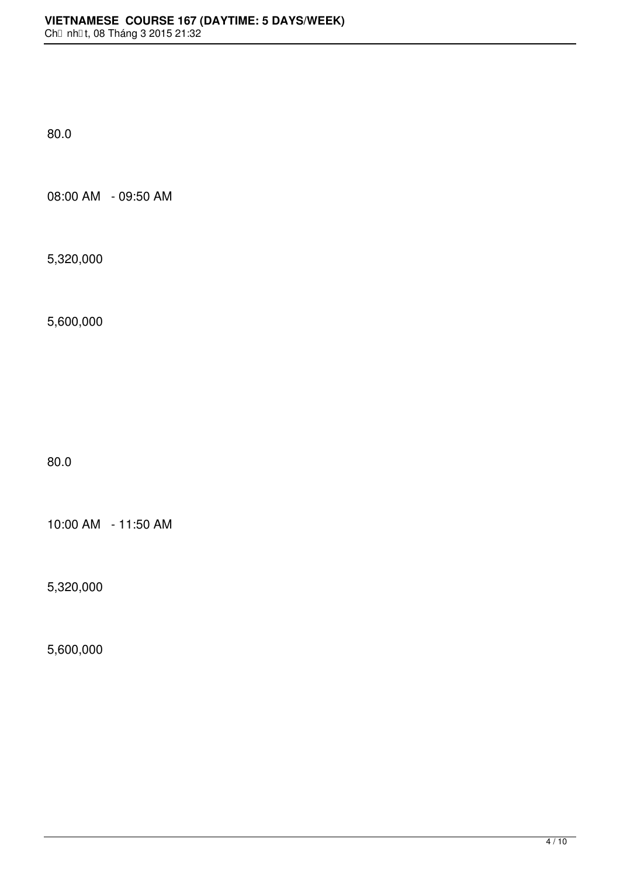08:00 AM - 09:50 AM

5,320,000

5,600,000

80.0

10:00 AM - 11:50 AM

5,320,000

5,600,000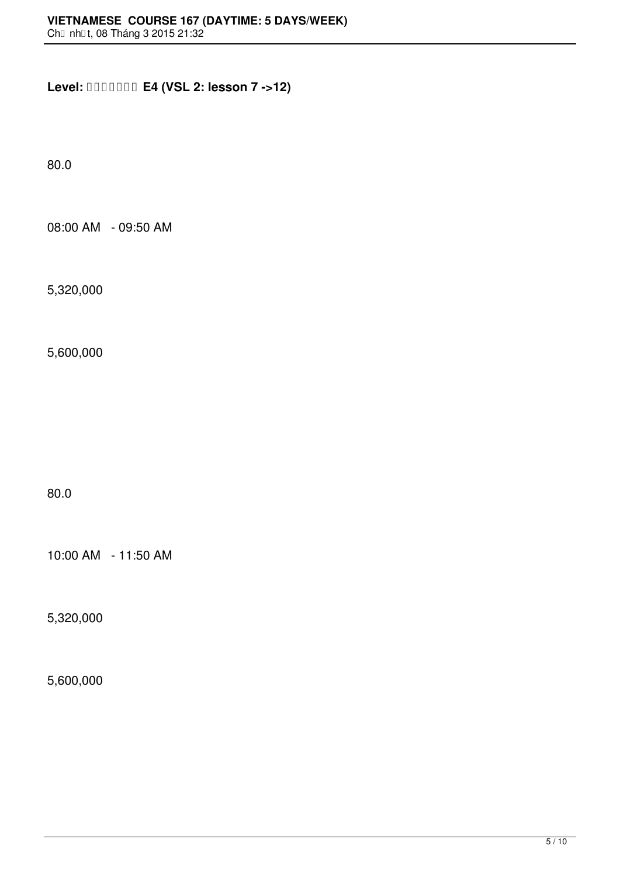**Level: E4 (VSL 2: lesson 7 ->12)**

80.0

08:00 AM - 09:50 AM

5,320,000

5,600,000

80.0

10:00 AM - 11:50 AM

5,320,000

5,600,000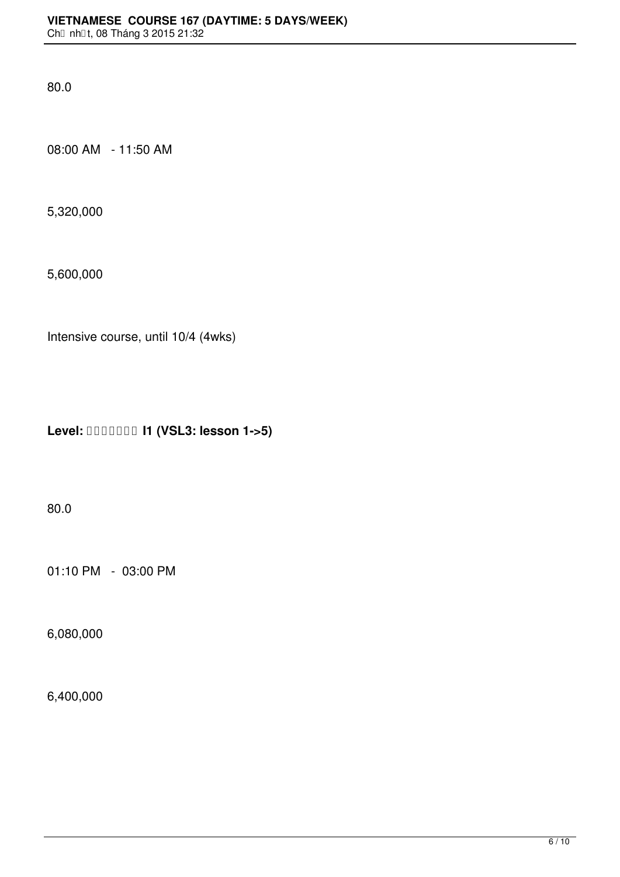08:00 AM - 11:50 AM

5,320,000

5,600,000

Intensive course, until 10/4 (4wks)

**Level: I1 (VSL3: lesson 1->5)**

80.0

01:10 PM - 03:00 PM

6,080,000

6,400,000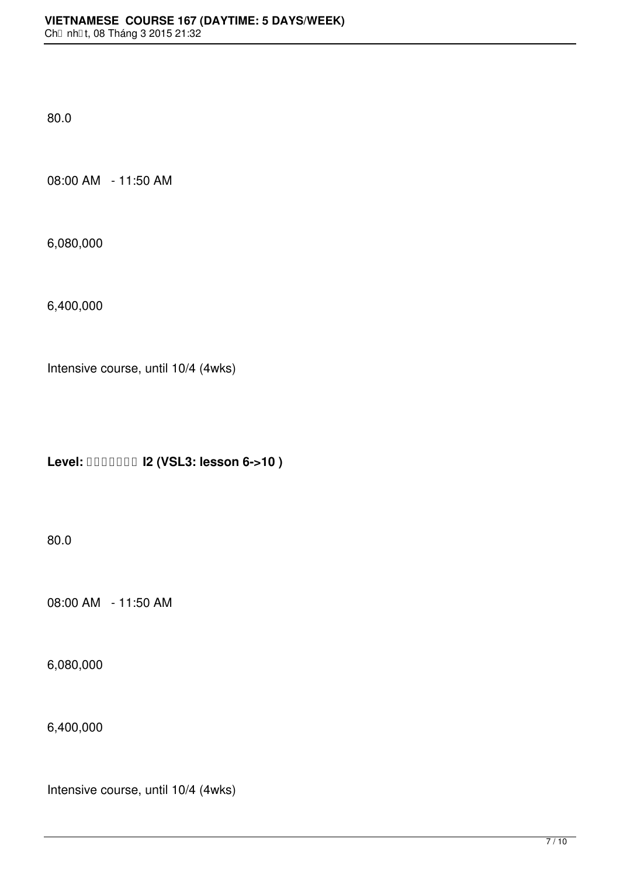08:00 AM - 11:50 AM

6,080,000

6,400,000

Intensive course, until 10/4 (4wks)

**Level: I2 (VSL3: lesson 6->10 )**

80.0

08:00 AM - 11:50 AM

6,080,000

6,400,000

Intensive course, until 10/4 (4wks)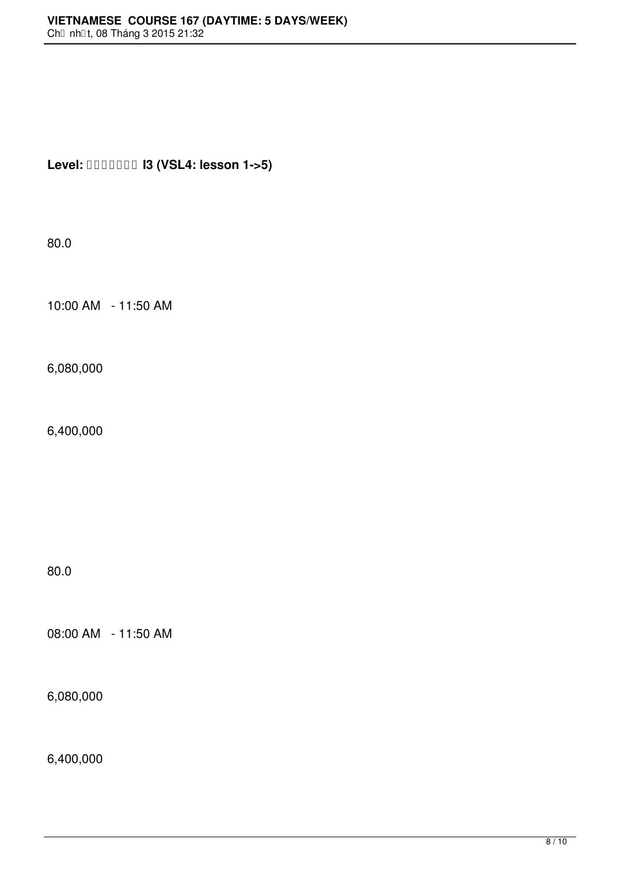## **Level: I3 (VSL4: lesson 1->5)**

80.0

10:00 AM - 11:50 AM

6,080,000

6,400,000

80.0

08:00 AM - 11:50 AM

6,080,000

6,400,000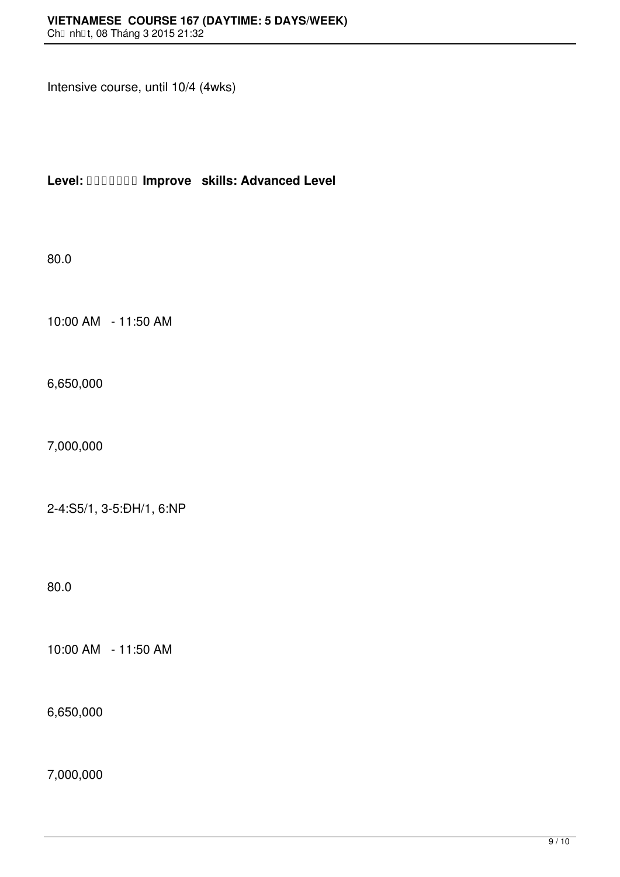Intensive course, until 10/4 (4wks)

**Level: Improve skills: Advanced Level**

80.0

10:00 AM - 11:50 AM

6,650,000

7,000,000

2-4:S5/1, 3-5:ĐH/1, 6:NP

80.0

10:00 AM - 11:50 AM

6,650,000

7,000,000